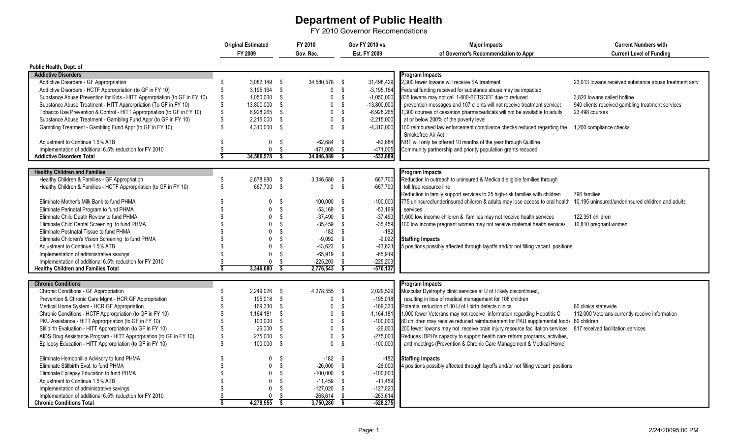## **Department of Public Health**

FY 2010 Governor Recomendations

| FY 2009<br>Gov. Rec.<br>Est. FY 2009<br>of Governor's Recommendation to Appr<br><b>Current Level of Funding</b><br>Public Health, Dept. of<br><b>Addictive Disorders</b><br><b>Program Impacts</b><br>2,300 fewer lowans will receive SA treatment<br>Addictive Disorders - GF Approrpriation<br>3,082,149 \$<br>34,580,578 \$<br>31,498,429<br>23,013 lowans received substance abuse treatment serv<br>- \$<br>Addictive Disorders - HCTF Approrpriation (to GF in FY 10)<br>$3,195,164$ \$<br>\$<br>$-3,195,164$<br>Federal funding received for substance abuse may be impacted<br>$\mathbf{0}$<br>\$<br>Substance Abuse Prevention for Kids - HITT Approrpriation (to GF in FY 10)<br>1,050,000 \$<br>$\mathbf{0}$<br>$-1,050,000$<br>835 lowans may not call 1-800-BETSOFF due to reduced<br>3.820 lowans called hotline<br>Substance Abuse Treatment - HITT Approrpriation (To GF in FY 10)<br>Ŝ.<br>13,800,000<br>$\mathbf 0$<br>$-13,800,000$<br>prevention messages and 107 clients will not receive treatment services<br>940 clients received gambling treatment services<br>-\$<br>Tobacco Use Prevention & Control - HITT Approrpriation (to GF in FY 10)<br>6,928,265<br>$\mathbf 0$<br>\$<br>$-6,928,265$<br>1,300 courses of cessation pharmaceuticals will not be available to adults<br>- \$<br>23,498 courses<br>Substance Abuse Treatment - Gambling Fund Appr (to GF in FY 10)<br>$\mathbf 0$<br>Ŝ.<br>$-2,215,000$<br>2,215,000 \$<br>at or below 200% of the poverty level<br>Gambling Treatment - Gambling Fund Appr (to GF in FY 10)<br>$\mathbf{0}$<br>4,310,000 \$<br>\$<br>$-4,310,000$<br>100 reimbursed law enforcement compliance checks reduced regarding the<br>1,200 compliance checks<br>Smokefree Air Act<br>$-62,684$<br>NRT will only be offered 10 months of the year through Quitline<br>Adjustment to Continue 1.5% ATB<br>0 <sup>5</sup><br>$^{\circ}$<br>$-62,684$<br>Implementation of additional 6.5% reduction for FY 2010<br>0 S<br>$-471.005$ \$<br>$-471,005$<br>Community partnership and priority population grants reduced<br>34.580.578<br>-533.689<br><b>Addictive Disorders Total</b><br>្ធ<br>34.046.889 \$<br><b>Healthy Children and Families</b><br><b>Program Impacts</b><br>Healthy Children & Families - GF Appropriation<br>2,678,980 \$<br>3,346,680 \$<br>667.700<br>Reduction in outreach to uninsured & Medicaid eligible families through<br>S<br>Healthy Children & Families - HCTF Approrpriation (to GF in FY 10)<br>667.700 \$<br>$-667,700$<br>0 S<br>toll free resource line<br>Reduction in family support services to 25 high-risk families with children<br>796 families<br>Eliminate Mother's Milk Bank to fund PHMA<br>$-100,000$ \$<br>775 uninsured/underinsured children & adults may lose access to oral health<br>10,195 uninsured/underinsured children and adults<br>$\Omega$<br>- \$<br>$-100,000$<br>Eliminate Perinatal Program to fund PHMA<br>$\mathbf{0}$<br>- \$<br>$-53,169$ \$<br>$-53,169$<br>services<br>Eliminate Child Death Review to fund PHMA<br>$\mathbf{0}$<br>- \$<br>$-37,490$ \$<br>$-37,490$<br>1,600 low income children & families may not receive health services<br>122,351 children<br>$\mathbf{0}$<br>$-35,459$ \$<br>Eliminate Child Dental Screening to fund PHMA<br>-\$<br>$-35,459$<br>100 low income pregnant women may not receive maternal health services<br>10,810 pregnant women<br>$-182$ \$<br>Eliminate Postnatal Tissue to fund PHMA<br>$\Omega$<br>-\$<br>$-182$<br>$\Omega$<br>- \$<br>$-9.092$ \$<br>Eliminate Children's Vision Screening to fund PHMA<br>$-9,092$<br><b>Staffing Impacts</b><br>$-43,623$<br>Adjustment to Continue 1.5% ATB<br>$\Omega$<br>$-43.623$ \$<br>5 positions possibly affected through layoffs and/or not filling vacant positions<br>\$<br>$-65,919$<br>Implementation of administrative savings<br>$\mathbf{0}$<br>S.<br>$-65,919$ \$<br>$-225,203$<br>Implementation of additional 6.5% reduction for FY 2010<br>$-225,203$<br>$\mathbf 0$<br>- \$<br>- \$<br>3,346,680<br>$\overline{\mathbf{s}}$<br>2,776,543<br>$\overline{\mathsf{s}}$<br>$-570,137$<br><b>Healthy Children and Families Total</b><br><b>Chronic Conditions</b><br><b>Program Impacts</b><br>4,278,555<br>2,029,529<br>Chronic Conditions - GF Appropriation<br>2,249,026 \$<br>Muscular Dystrophy clinic services at U of I likely discontinued,<br>- \$<br>$\mathbf{\hat{s}}$<br>Prevention & Chronic Care Mgmt - HCR GF Appropriation<br>195.018 \$<br>$\mathbf 0$<br>$-195.018$<br>resulting in loss of medical management for 108 children<br>\$<br>$-169,330$<br>Medical Home System - HCR GF Appropriation<br>169,330 \$<br>$\mathbf 0$<br>Potential reduction of 30 U of I birth defects clinics<br>60 clinics statewide<br>Chronic Conditions - HCTF Approrpriation (to GF in FY 10)<br>Ŝ.<br>1,164,181 \$<br>$\mathbf 0$<br>$-1,164,181$<br>1,000 fewer Veterans may not receive information regarding Hepatitis C<br>112,000 Veterans currently receive information<br>PKU Assistance - HITT Approrpriation (to GF in FY 10)<br>100,000 \$<br>- \$<br>$-100,000$<br>80 children may receive reduced reimbursement for PKU supplemental foods 80 children<br>$\mathbf{0}$<br>Stillbirth Evaluation - HITT Approrpriation (to GF in FY 10)<br>26,000<br>$\mathbf{0}$<br>- \$<br>$-26,000$<br>200 fewer lowans may not receive brain injury resource facilitation services 817 received facilitation services<br>- \$<br>AIDS Drug Assistance Program - HITT Approrpriation (to GF in FY 10)<br>275,000<br>$-275,000$<br>Reduces IDPH's capacity to support health care reform programs, activities,<br>\$<br>$\mathbf{0}$<br>\$<br>100,000 \$ |                                                           | <b>Original Estimated</b> |  | FY 2010 | Gov FY 2010 vs. |      | <b>Current Numbers with</b><br><b>Major Impacts</b> |                                                                    |  |
|------------------------------------------------------------------------------------------------------------------------------------------------------------------------------------------------------------------------------------------------------------------------------------------------------------------------------------------------------------------------------------------------------------------------------------------------------------------------------------------------------------------------------------------------------------------------------------------------------------------------------------------------------------------------------------------------------------------------------------------------------------------------------------------------------------------------------------------------------------------------------------------------------------------------------------------------------------------------------------------------------------------------------------------------------------------------------------------------------------------------------------------------------------------------------------------------------------------------------------------------------------------------------------------------------------------------------------------------------------------------------------------------------------------------------------------------------------------------------------------------------------------------------------------------------------------------------------------------------------------------------------------------------------------------------------------------------------------------------------------------------------------------------------------------------------------------------------------------------------------------------------------------------------------------------------------------------------------------------------------------------------------------------------------------------------------------------------------------------------------------------------------------------------------------------------------------------------------------------------------------------------------------------------------------------------------------------------------------------------------------------------------------------------------------------------------------------------------------------------------------------------------------------------------------------------------------------------------------------------------------------------------------------------------------------------------------------------------------------------------------------------------------------------------------------------------------------------------------------------------------------------------------------------------------------------------------------------------------------------------------------------------------------------------------------------------------------------------------------------------------------------------------------------------------------------------------------------------------------------------------------------------------------------------------------------------------------------------------------------------------------------------------------------------------------------------------------------------------------------------------------------------------------------------------------------------------------------------------------------------------------------------------------------------------------------------------------------------------------------------------------------------------------------------------------------------------------------------------------------------------------------------------------------------------------------------------------------------------------------------------------------------------------------------------------------------------------------------------------------------------------------------------------------------------------------------------------------------------------------------------------------------------------------------------------------------------------------------------------------------------------------------------------------------------------------------------------------------------------------------------------------------------------------------------------------------------------------------------------------------------------------------------------------------------------------------------------------------------------------------------------------------------------------------------------------------------------------------------------------------------------------------------------------------------------------------------------------------------------------------------------------------------------------------------------------------------------------------------------------------------------------------------------------------------------------------------------------------------------------------------------------------------------------------------------------------------------------------------------------------------------------------------------------------------------------------------------------------------------------------------------------------------------------------------------------------------------------------------------------------------------------------------------------------------------------------------|-----------------------------------------------------------|---------------------------|--|---------|-----------------|------|-----------------------------------------------------|--------------------------------------------------------------------|--|
|                                                                                                                                                                                                                                                                                                                                                                                                                                                                                                                                                                                                                                                                                                                                                                                                                                                                                                                                                                                                                                                                                                                                                                                                                                                                                                                                                                                                                                                                                                                                                                                                                                                                                                                                                                                                                                                                                                                                                                                                                                                                                                                                                                                                                                                                                                                                                                                                                                                                                                                                                                                                                                                                                                                                                                                                                                                                                                                                                                                                                                                                                                                                                                                                                                                                                                                                                                                                                                                                                                                                                                                                                                                                                                                                                                                                                                                                                                                                                                                                                                                                                                                                                                                                                                                                                                                                                                                                                                                                                                                                                                                                                                                                                                                                                                                                                                                                                                                                                                                                                                                                                                                                                                                                                                                                                                                                                                                                                                                                                                                                                                                                                                                                                                |                                                           |                           |  |         |                 |      |                                                     |                                                                    |  |
|                                                                                                                                                                                                                                                                                                                                                                                                                                                                                                                                                                                                                                                                                                                                                                                                                                                                                                                                                                                                                                                                                                                                                                                                                                                                                                                                                                                                                                                                                                                                                                                                                                                                                                                                                                                                                                                                                                                                                                                                                                                                                                                                                                                                                                                                                                                                                                                                                                                                                                                                                                                                                                                                                                                                                                                                                                                                                                                                                                                                                                                                                                                                                                                                                                                                                                                                                                                                                                                                                                                                                                                                                                                                                                                                                                                                                                                                                                                                                                                                                                                                                                                                                                                                                                                                                                                                                                                                                                                                                                                                                                                                                                                                                                                                                                                                                                                                                                                                                                                                                                                                                                                                                                                                                                                                                                                                                                                                                                                                                                                                                                                                                                                                                                |                                                           |                           |  |         |                 |      |                                                     |                                                                    |  |
|                                                                                                                                                                                                                                                                                                                                                                                                                                                                                                                                                                                                                                                                                                                                                                                                                                                                                                                                                                                                                                                                                                                                                                                                                                                                                                                                                                                                                                                                                                                                                                                                                                                                                                                                                                                                                                                                                                                                                                                                                                                                                                                                                                                                                                                                                                                                                                                                                                                                                                                                                                                                                                                                                                                                                                                                                                                                                                                                                                                                                                                                                                                                                                                                                                                                                                                                                                                                                                                                                                                                                                                                                                                                                                                                                                                                                                                                                                                                                                                                                                                                                                                                                                                                                                                                                                                                                                                                                                                                                                                                                                                                                                                                                                                                                                                                                                                                                                                                                                                                                                                                                                                                                                                                                                                                                                                                                                                                                                                                                                                                                                                                                                                                                                |                                                           |                           |  |         |                 |      |                                                     |                                                                    |  |
|                                                                                                                                                                                                                                                                                                                                                                                                                                                                                                                                                                                                                                                                                                                                                                                                                                                                                                                                                                                                                                                                                                                                                                                                                                                                                                                                                                                                                                                                                                                                                                                                                                                                                                                                                                                                                                                                                                                                                                                                                                                                                                                                                                                                                                                                                                                                                                                                                                                                                                                                                                                                                                                                                                                                                                                                                                                                                                                                                                                                                                                                                                                                                                                                                                                                                                                                                                                                                                                                                                                                                                                                                                                                                                                                                                                                                                                                                                                                                                                                                                                                                                                                                                                                                                                                                                                                                                                                                                                                                                                                                                                                                                                                                                                                                                                                                                                                                                                                                                                                                                                                                                                                                                                                                                                                                                                                                                                                                                                                                                                                                                                                                                                                                                |                                                           |                           |  |         |                 |      |                                                     |                                                                    |  |
|                                                                                                                                                                                                                                                                                                                                                                                                                                                                                                                                                                                                                                                                                                                                                                                                                                                                                                                                                                                                                                                                                                                                                                                                                                                                                                                                                                                                                                                                                                                                                                                                                                                                                                                                                                                                                                                                                                                                                                                                                                                                                                                                                                                                                                                                                                                                                                                                                                                                                                                                                                                                                                                                                                                                                                                                                                                                                                                                                                                                                                                                                                                                                                                                                                                                                                                                                                                                                                                                                                                                                                                                                                                                                                                                                                                                                                                                                                                                                                                                                                                                                                                                                                                                                                                                                                                                                                                                                                                                                                                                                                                                                                                                                                                                                                                                                                                                                                                                                                                                                                                                                                                                                                                                                                                                                                                                                                                                                                                                                                                                                                                                                                                                                                |                                                           |                           |  |         |                 |      |                                                     |                                                                    |  |
|                                                                                                                                                                                                                                                                                                                                                                                                                                                                                                                                                                                                                                                                                                                                                                                                                                                                                                                                                                                                                                                                                                                                                                                                                                                                                                                                                                                                                                                                                                                                                                                                                                                                                                                                                                                                                                                                                                                                                                                                                                                                                                                                                                                                                                                                                                                                                                                                                                                                                                                                                                                                                                                                                                                                                                                                                                                                                                                                                                                                                                                                                                                                                                                                                                                                                                                                                                                                                                                                                                                                                                                                                                                                                                                                                                                                                                                                                                                                                                                                                                                                                                                                                                                                                                                                                                                                                                                                                                                                                                                                                                                                                                                                                                                                                                                                                                                                                                                                                                                                                                                                                                                                                                                                                                                                                                                                                                                                                                                                                                                                                                                                                                                                                                |                                                           |                           |  |         |                 |      |                                                     |                                                                    |  |
|                                                                                                                                                                                                                                                                                                                                                                                                                                                                                                                                                                                                                                                                                                                                                                                                                                                                                                                                                                                                                                                                                                                                                                                                                                                                                                                                                                                                                                                                                                                                                                                                                                                                                                                                                                                                                                                                                                                                                                                                                                                                                                                                                                                                                                                                                                                                                                                                                                                                                                                                                                                                                                                                                                                                                                                                                                                                                                                                                                                                                                                                                                                                                                                                                                                                                                                                                                                                                                                                                                                                                                                                                                                                                                                                                                                                                                                                                                                                                                                                                                                                                                                                                                                                                                                                                                                                                                                                                                                                                                                                                                                                                                                                                                                                                                                                                                                                                                                                                                                                                                                                                                                                                                                                                                                                                                                                                                                                                                                                                                                                                                                                                                                                                                |                                                           |                           |  |         |                 |      |                                                     |                                                                    |  |
|                                                                                                                                                                                                                                                                                                                                                                                                                                                                                                                                                                                                                                                                                                                                                                                                                                                                                                                                                                                                                                                                                                                                                                                                                                                                                                                                                                                                                                                                                                                                                                                                                                                                                                                                                                                                                                                                                                                                                                                                                                                                                                                                                                                                                                                                                                                                                                                                                                                                                                                                                                                                                                                                                                                                                                                                                                                                                                                                                                                                                                                                                                                                                                                                                                                                                                                                                                                                                                                                                                                                                                                                                                                                                                                                                                                                                                                                                                                                                                                                                                                                                                                                                                                                                                                                                                                                                                                                                                                                                                                                                                                                                                                                                                                                                                                                                                                                                                                                                                                                                                                                                                                                                                                                                                                                                                                                                                                                                                                                                                                                                                                                                                                                                                |                                                           |                           |  |         |                 |      |                                                     |                                                                    |  |
|                                                                                                                                                                                                                                                                                                                                                                                                                                                                                                                                                                                                                                                                                                                                                                                                                                                                                                                                                                                                                                                                                                                                                                                                                                                                                                                                                                                                                                                                                                                                                                                                                                                                                                                                                                                                                                                                                                                                                                                                                                                                                                                                                                                                                                                                                                                                                                                                                                                                                                                                                                                                                                                                                                                                                                                                                                                                                                                                                                                                                                                                                                                                                                                                                                                                                                                                                                                                                                                                                                                                                                                                                                                                                                                                                                                                                                                                                                                                                                                                                                                                                                                                                                                                                                                                                                                                                                                                                                                                                                                                                                                                                                                                                                                                                                                                                                                                                                                                                                                                                                                                                                                                                                                                                                                                                                                                                                                                                                                                                                                                                                                                                                                                                                |                                                           |                           |  |         |                 |      |                                                     |                                                                    |  |
|                                                                                                                                                                                                                                                                                                                                                                                                                                                                                                                                                                                                                                                                                                                                                                                                                                                                                                                                                                                                                                                                                                                                                                                                                                                                                                                                                                                                                                                                                                                                                                                                                                                                                                                                                                                                                                                                                                                                                                                                                                                                                                                                                                                                                                                                                                                                                                                                                                                                                                                                                                                                                                                                                                                                                                                                                                                                                                                                                                                                                                                                                                                                                                                                                                                                                                                                                                                                                                                                                                                                                                                                                                                                                                                                                                                                                                                                                                                                                                                                                                                                                                                                                                                                                                                                                                                                                                                                                                                                                                                                                                                                                                                                                                                                                                                                                                                                                                                                                                                                                                                                                                                                                                                                                                                                                                                                                                                                                                                                                                                                                                                                                                                                                                |                                                           |                           |  |         |                 |      |                                                     |                                                                    |  |
|                                                                                                                                                                                                                                                                                                                                                                                                                                                                                                                                                                                                                                                                                                                                                                                                                                                                                                                                                                                                                                                                                                                                                                                                                                                                                                                                                                                                                                                                                                                                                                                                                                                                                                                                                                                                                                                                                                                                                                                                                                                                                                                                                                                                                                                                                                                                                                                                                                                                                                                                                                                                                                                                                                                                                                                                                                                                                                                                                                                                                                                                                                                                                                                                                                                                                                                                                                                                                                                                                                                                                                                                                                                                                                                                                                                                                                                                                                                                                                                                                                                                                                                                                                                                                                                                                                                                                                                                                                                                                                                                                                                                                                                                                                                                                                                                                                                                                                                                                                                                                                                                                                                                                                                                                                                                                                                                                                                                                                                                                                                                                                                                                                                                                                |                                                           |                           |  |         |                 |      |                                                     |                                                                    |  |
|                                                                                                                                                                                                                                                                                                                                                                                                                                                                                                                                                                                                                                                                                                                                                                                                                                                                                                                                                                                                                                                                                                                                                                                                                                                                                                                                                                                                                                                                                                                                                                                                                                                                                                                                                                                                                                                                                                                                                                                                                                                                                                                                                                                                                                                                                                                                                                                                                                                                                                                                                                                                                                                                                                                                                                                                                                                                                                                                                                                                                                                                                                                                                                                                                                                                                                                                                                                                                                                                                                                                                                                                                                                                                                                                                                                                                                                                                                                                                                                                                                                                                                                                                                                                                                                                                                                                                                                                                                                                                                                                                                                                                                                                                                                                                                                                                                                                                                                                                                                                                                                                                                                                                                                                                                                                                                                                                                                                                                                                                                                                                                                                                                                                                                |                                                           |                           |  |         |                 |      |                                                     |                                                                    |  |
|                                                                                                                                                                                                                                                                                                                                                                                                                                                                                                                                                                                                                                                                                                                                                                                                                                                                                                                                                                                                                                                                                                                                                                                                                                                                                                                                                                                                                                                                                                                                                                                                                                                                                                                                                                                                                                                                                                                                                                                                                                                                                                                                                                                                                                                                                                                                                                                                                                                                                                                                                                                                                                                                                                                                                                                                                                                                                                                                                                                                                                                                                                                                                                                                                                                                                                                                                                                                                                                                                                                                                                                                                                                                                                                                                                                                                                                                                                                                                                                                                                                                                                                                                                                                                                                                                                                                                                                                                                                                                                                                                                                                                                                                                                                                                                                                                                                                                                                                                                                                                                                                                                                                                                                                                                                                                                                                                                                                                                                                                                                                                                                                                                                                                                |                                                           |                           |  |         |                 |      |                                                     |                                                                    |  |
|                                                                                                                                                                                                                                                                                                                                                                                                                                                                                                                                                                                                                                                                                                                                                                                                                                                                                                                                                                                                                                                                                                                                                                                                                                                                                                                                                                                                                                                                                                                                                                                                                                                                                                                                                                                                                                                                                                                                                                                                                                                                                                                                                                                                                                                                                                                                                                                                                                                                                                                                                                                                                                                                                                                                                                                                                                                                                                                                                                                                                                                                                                                                                                                                                                                                                                                                                                                                                                                                                                                                                                                                                                                                                                                                                                                                                                                                                                                                                                                                                                                                                                                                                                                                                                                                                                                                                                                                                                                                                                                                                                                                                                                                                                                                                                                                                                                                                                                                                                                                                                                                                                                                                                                                                                                                                                                                                                                                                                                                                                                                                                                                                                                                                                |                                                           |                           |  |         |                 |      |                                                     |                                                                    |  |
|                                                                                                                                                                                                                                                                                                                                                                                                                                                                                                                                                                                                                                                                                                                                                                                                                                                                                                                                                                                                                                                                                                                                                                                                                                                                                                                                                                                                                                                                                                                                                                                                                                                                                                                                                                                                                                                                                                                                                                                                                                                                                                                                                                                                                                                                                                                                                                                                                                                                                                                                                                                                                                                                                                                                                                                                                                                                                                                                                                                                                                                                                                                                                                                                                                                                                                                                                                                                                                                                                                                                                                                                                                                                                                                                                                                                                                                                                                                                                                                                                                                                                                                                                                                                                                                                                                                                                                                                                                                                                                                                                                                                                                                                                                                                                                                                                                                                                                                                                                                                                                                                                                                                                                                                                                                                                                                                                                                                                                                                                                                                                                                                                                                                                                |                                                           |                           |  |         |                 |      |                                                     |                                                                    |  |
|                                                                                                                                                                                                                                                                                                                                                                                                                                                                                                                                                                                                                                                                                                                                                                                                                                                                                                                                                                                                                                                                                                                                                                                                                                                                                                                                                                                                                                                                                                                                                                                                                                                                                                                                                                                                                                                                                                                                                                                                                                                                                                                                                                                                                                                                                                                                                                                                                                                                                                                                                                                                                                                                                                                                                                                                                                                                                                                                                                                                                                                                                                                                                                                                                                                                                                                                                                                                                                                                                                                                                                                                                                                                                                                                                                                                                                                                                                                                                                                                                                                                                                                                                                                                                                                                                                                                                                                                                                                                                                                                                                                                                                                                                                                                                                                                                                                                                                                                                                                                                                                                                                                                                                                                                                                                                                                                                                                                                                                                                                                                                                                                                                                                                                |                                                           |                           |  |         |                 |      |                                                     |                                                                    |  |
|                                                                                                                                                                                                                                                                                                                                                                                                                                                                                                                                                                                                                                                                                                                                                                                                                                                                                                                                                                                                                                                                                                                                                                                                                                                                                                                                                                                                                                                                                                                                                                                                                                                                                                                                                                                                                                                                                                                                                                                                                                                                                                                                                                                                                                                                                                                                                                                                                                                                                                                                                                                                                                                                                                                                                                                                                                                                                                                                                                                                                                                                                                                                                                                                                                                                                                                                                                                                                                                                                                                                                                                                                                                                                                                                                                                                                                                                                                                                                                                                                                                                                                                                                                                                                                                                                                                                                                                                                                                                                                                                                                                                                                                                                                                                                                                                                                                                                                                                                                                                                                                                                                                                                                                                                                                                                                                                                                                                                                                                                                                                                                                                                                                                                                |                                                           |                           |  |         |                 |      |                                                     |                                                                    |  |
|                                                                                                                                                                                                                                                                                                                                                                                                                                                                                                                                                                                                                                                                                                                                                                                                                                                                                                                                                                                                                                                                                                                                                                                                                                                                                                                                                                                                                                                                                                                                                                                                                                                                                                                                                                                                                                                                                                                                                                                                                                                                                                                                                                                                                                                                                                                                                                                                                                                                                                                                                                                                                                                                                                                                                                                                                                                                                                                                                                                                                                                                                                                                                                                                                                                                                                                                                                                                                                                                                                                                                                                                                                                                                                                                                                                                                                                                                                                                                                                                                                                                                                                                                                                                                                                                                                                                                                                                                                                                                                                                                                                                                                                                                                                                                                                                                                                                                                                                                                                                                                                                                                                                                                                                                                                                                                                                                                                                                                                                                                                                                                                                                                                                                                |                                                           |                           |  |         |                 |      |                                                     |                                                                    |  |
|                                                                                                                                                                                                                                                                                                                                                                                                                                                                                                                                                                                                                                                                                                                                                                                                                                                                                                                                                                                                                                                                                                                                                                                                                                                                                                                                                                                                                                                                                                                                                                                                                                                                                                                                                                                                                                                                                                                                                                                                                                                                                                                                                                                                                                                                                                                                                                                                                                                                                                                                                                                                                                                                                                                                                                                                                                                                                                                                                                                                                                                                                                                                                                                                                                                                                                                                                                                                                                                                                                                                                                                                                                                                                                                                                                                                                                                                                                                                                                                                                                                                                                                                                                                                                                                                                                                                                                                                                                                                                                                                                                                                                                                                                                                                                                                                                                                                                                                                                                                                                                                                                                                                                                                                                                                                                                                                                                                                                                                                                                                                                                                                                                                                                                |                                                           |                           |  |         |                 |      |                                                     |                                                                    |  |
|                                                                                                                                                                                                                                                                                                                                                                                                                                                                                                                                                                                                                                                                                                                                                                                                                                                                                                                                                                                                                                                                                                                                                                                                                                                                                                                                                                                                                                                                                                                                                                                                                                                                                                                                                                                                                                                                                                                                                                                                                                                                                                                                                                                                                                                                                                                                                                                                                                                                                                                                                                                                                                                                                                                                                                                                                                                                                                                                                                                                                                                                                                                                                                                                                                                                                                                                                                                                                                                                                                                                                                                                                                                                                                                                                                                                                                                                                                                                                                                                                                                                                                                                                                                                                                                                                                                                                                                                                                                                                                                                                                                                                                                                                                                                                                                                                                                                                                                                                                                                                                                                                                                                                                                                                                                                                                                                                                                                                                                                                                                                                                                                                                                                                                |                                                           |                           |  |         |                 |      |                                                     |                                                                    |  |
|                                                                                                                                                                                                                                                                                                                                                                                                                                                                                                                                                                                                                                                                                                                                                                                                                                                                                                                                                                                                                                                                                                                                                                                                                                                                                                                                                                                                                                                                                                                                                                                                                                                                                                                                                                                                                                                                                                                                                                                                                                                                                                                                                                                                                                                                                                                                                                                                                                                                                                                                                                                                                                                                                                                                                                                                                                                                                                                                                                                                                                                                                                                                                                                                                                                                                                                                                                                                                                                                                                                                                                                                                                                                                                                                                                                                                                                                                                                                                                                                                                                                                                                                                                                                                                                                                                                                                                                                                                                                                                                                                                                                                                                                                                                                                                                                                                                                                                                                                                                                                                                                                                                                                                                                                                                                                                                                                                                                                                                                                                                                                                                                                                                                                                |                                                           |                           |  |         |                 |      |                                                     |                                                                    |  |
|                                                                                                                                                                                                                                                                                                                                                                                                                                                                                                                                                                                                                                                                                                                                                                                                                                                                                                                                                                                                                                                                                                                                                                                                                                                                                                                                                                                                                                                                                                                                                                                                                                                                                                                                                                                                                                                                                                                                                                                                                                                                                                                                                                                                                                                                                                                                                                                                                                                                                                                                                                                                                                                                                                                                                                                                                                                                                                                                                                                                                                                                                                                                                                                                                                                                                                                                                                                                                                                                                                                                                                                                                                                                                                                                                                                                                                                                                                                                                                                                                                                                                                                                                                                                                                                                                                                                                                                                                                                                                                                                                                                                                                                                                                                                                                                                                                                                                                                                                                                                                                                                                                                                                                                                                                                                                                                                                                                                                                                                                                                                                                                                                                                                                                |                                                           |                           |  |         |                 |      |                                                     |                                                                    |  |
|                                                                                                                                                                                                                                                                                                                                                                                                                                                                                                                                                                                                                                                                                                                                                                                                                                                                                                                                                                                                                                                                                                                                                                                                                                                                                                                                                                                                                                                                                                                                                                                                                                                                                                                                                                                                                                                                                                                                                                                                                                                                                                                                                                                                                                                                                                                                                                                                                                                                                                                                                                                                                                                                                                                                                                                                                                                                                                                                                                                                                                                                                                                                                                                                                                                                                                                                                                                                                                                                                                                                                                                                                                                                                                                                                                                                                                                                                                                                                                                                                                                                                                                                                                                                                                                                                                                                                                                                                                                                                                                                                                                                                                                                                                                                                                                                                                                                                                                                                                                                                                                                                                                                                                                                                                                                                                                                                                                                                                                                                                                                                                                                                                                                                                |                                                           |                           |  |         |                 |      |                                                     |                                                                    |  |
|                                                                                                                                                                                                                                                                                                                                                                                                                                                                                                                                                                                                                                                                                                                                                                                                                                                                                                                                                                                                                                                                                                                                                                                                                                                                                                                                                                                                                                                                                                                                                                                                                                                                                                                                                                                                                                                                                                                                                                                                                                                                                                                                                                                                                                                                                                                                                                                                                                                                                                                                                                                                                                                                                                                                                                                                                                                                                                                                                                                                                                                                                                                                                                                                                                                                                                                                                                                                                                                                                                                                                                                                                                                                                                                                                                                                                                                                                                                                                                                                                                                                                                                                                                                                                                                                                                                                                                                                                                                                                                                                                                                                                                                                                                                                                                                                                                                                                                                                                                                                                                                                                                                                                                                                                                                                                                                                                                                                                                                                                                                                                                                                                                                                                                |                                                           |                           |  |         |                 |      |                                                     |                                                                    |  |
|                                                                                                                                                                                                                                                                                                                                                                                                                                                                                                                                                                                                                                                                                                                                                                                                                                                                                                                                                                                                                                                                                                                                                                                                                                                                                                                                                                                                                                                                                                                                                                                                                                                                                                                                                                                                                                                                                                                                                                                                                                                                                                                                                                                                                                                                                                                                                                                                                                                                                                                                                                                                                                                                                                                                                                                                                                                                                                                                                                                                                                                                                                                                                                                                                                                                                                                                                                                                                                                                                                                                                                                                                                                                                                                                                                                                                                                                                                                                                                                                                                                                                                                                                                                                                                                                                                                                                                                                                                                                                                                                                                                                                                                                                                                                                                                                                                                                                                                                                                                                                                                                                                                                                                                                                                                                                                                                                                                                                                                                                                                                                                                                                                                                                                |                                                           |                           |  |         |                 |      |                                                     |                                                                    |  |
|                                                                                                                                                                                                                                                                                                                                                                                                                                                                                                                                                                                                                                                                                                                                                                                                                                                                                                                                                                                                                                                                                                                                                                                                                                                                                                                                                                                                                                                                                                                                                                                                                                                                                                                                                                                                                                                                                                                                                                                                                                                                                                                                                                                                                                                                                                                                                                                                                                                                                                                                                                                                                                                                                                                                                                                                                                                                                                                                                                                                                                                                                                                                                                                                                                                                                                                                                                                                                                                                                                                                                                                                                                                                                                                                                                                                                                                                                                                                                                                                                                                                                                                                                                                                                                                                                                                                                                                                                                                                                                                                                                                                                                                                                                                                                                                                                                                                                                                                                                                                                                                                                                                                                                                                                                                                                                                                                                                                                                                                                                                                                                                                                                                                                                |                                                           |                           |  |         |                 |      |                                                     |                                                                    |  |
|                                                                                                                                                                                                                                                                                                                                                                                                                                                                                                                                                                                                                                                                                                                                                                                                                                                                                                                                                                                                                                                                                                                                                                                                                                                                                                                                                                                                                                                                                                                                                                                                                                                                                                                                                                                                                                                                                                                                                                                                                                                                                                                                                                                                                                                                                                                                                                                                                                                                                                                                                                                                                                                                                                                                                                                                                                                                                                                                                                                                                                                                                                                                                                                                                                                                                                                                                                                                                                                                                                                                                                                                                                                                                                                                                                                                                                                                                                                                                                                                                                                                                                                                                                                                                                                                                                                                                                                                                                                                                                                                                                                                                                                                                                                                                                                                                                                                                                                                                                                                                                                                                                                                                                                                                                                                                                                                                                                                                                                                                                                                                                                                                                                                                                |                                                           |                           |  |         |                 |      |                                                     |                                                                    |  |
|                                                                                                                                                                                                                                                                                                                                                                                                                                                                                                                                                                                                                                                                                                                                                                                                                                                                                                                                                                                                                                                                                                                                                                                                                                                                                                                                                                                                                                                                                                                                                                                                                                                                                                                                                                                                                                                                                                                                                                                                                                                                                                                                                                                                                                                                                                                                                                                                                                                                                                                                                                                                                                                                                                                                                                                                                                                                                                                                                                                                                                                                                                                                                                                                                                                                                                                                                                                                                                                                                                                                                                                                                                                                                                                                                                                                                                                                                                                                                                                                                                                                                                                                                                                                                                                                                                                                                                                                                                                                                                                                                                                                                                                                                                                                                                                                                                                                                                                                                                                                                                                                                                                                                                                                                                                                                                                                                                                                                                                                                                                                                                                                                                                                                                |                                                           |                           |  |         |                 |      |                                                     |                                                                    |  |
|                                                                                                                                                                                                                                                                                                                                                                                                                                                                                                                                                                                                                                                                                                                                                                                                                                                                                                                                                                                                                                                                                                                                                                                                                                                                                                                                                                                                                                                                                                                                                                                                                                                                                                                                                                                                                                                                                                                                                                                                                                                                                                                                                                                                                                                                                                                                                                                                                                                                                                                                                                                                                                                                                                                                                                                                                                                                                                                                                                                                                                                                                                                                                                                                                                                                                                                                                                                                                                                                                                                                                                                                                                                                                                                                                                                                                                                                                                                                                                                                                                                                                                                                                                                                                                                                                                                                                                                                                                                                                                                                                                                                                                                                                                                                                                                                                                                                                                                                                                                                                                                                                                                                                                                                                                                                                                                                                                                                                                                                                                                                                                                                                                                                                                |                                                           |                           |  |         |                 |      |                                                     |                                                                    |  |
|                                                                                                                                                                                                                                                                                                                                                                                                                                                                                                                                                                                                                                                                                                                                                                                                                                                                                                                                                                                                                                                                                                                                                                                                                                                                                                                                                                                                                                                                                                                                                                                                                                                                                                                                                                                                                                                                                                                                                                                                                                                                                                                                                                                                                                                                                                                                                                                                                                                                                                                                                                                                                                                                                                                                                                                                                                                                                                                                                                                                                                                                                                                                                                                                                                                                                                                                                                                                                                                                                                                                                                                                                                                                                                                                                                                                                                                                                                                                                                                                                                                                                                                                                                                                                                                                                                                                                                                                                                                                                                                                                                                                                                                                                                                                                                                                                                                                                                                                                                                                                                                                                                                                                                                                                                                                                                                                                                                                                                                                                                                                                                                                                                                                                                |                                                           |                           |  |         |                 |      |                                                     |                                                                    |  |
|                                                                                                                                                                                                                                                                                                                                                                                                                                                                                                                                                                                                                                                                                                                                                                                                                                                                                                                                                                                                                                                                                                                                                                                                                                                                                                                                                                                                                                                                                                                                                                                                                                                                                                                                                                                                                                                                                                                                                                                                                                                                                                                                                                                                                                                                                                                                                                                                                                                                                                                                                                                                                                                                                                                                                                                                                                                                                                                                                                                                                                                                                                                                                                                                                                                                                                                                                                                                                                                                                                                                                                                                                                                                                                                                                                                                                                                                                                                                                                                                                                                                                                                                                                                                                                                                                                                                                                                                                                                                                                                                                                                                                                                                                                                                                                                                                                                                                                                                                                                                                                                                                                                                                                                                                                                                                                                                                                                                                                                                                                                                                                                                                                                                                                |                                                           |                           |  |         |                 |      |                                                     |                                                                    |  |
|                                                                                                                                                                                                                                                                                                                                                                                                                                                                                                                                                                                                                                                                                                                                                                                                                                                                                                                                                                                                                                                                                                                                                                                                                                                                                                                                                                                                                                                                                                                                                                                                                                                                                                                                                                                                                                                                                                                                                                                                                                                                                                                                                                                                                                                                                                                                                                                                                                                                                                                                                                                                                                                                                                                                                                                                                                                                                                                                                                                                                                                                                                                                                                                                                                                                                                                                                                                                                                                                                                                                                                                                                                                                                                                                                                                                                                                                                                                                                                                                                                                                                                                                                                                                                                                                                                                                                                                                                                                                                                                                                                                                                                                                                                                                                                                                                                                                                                                                                                                                                                                                                                                                                                                                                                                                                                                                                                                                                                                                                                                                                                                                                                                                                                |                                                           |                           |  |         |                 |      |                                                     |                                                                    |  |
|                                                                                                                                                                                                                                                                                                                                                                                                                                                                                                                                                                                                                                                                                                                                                                                                                                                                                                                                                                                                                                                                                                                                                                                                                                                                                                                                                                                                                                                                                                                                                                                                                                                                                                                                                                                                                                                                                                                                                                                                                                                                                                                                                                                                                                                                                                                                                                                                                                                                                                                                                                                                                                                                                                                                                                                                                                                                                                                                                                                                                                                                                                                                                                                                                                                                                                                                                                                                                                                                                                                                                                                                                                                                                                                                                                                                                                                                                                                                                                                                                                                                                                                                                                                                                                                                                                                                                                                                                                                                                                                                                                                                                                                                                                                                                                                                                                                                                                                                                                                                                                                                                                                                                                                                                                                                                                                                                                                                                                                                                                                                                                                                                                                                                                |                                                           |                           |  |         |                 |      |                                                     |                                                                    |  |
|                                                                                                                                                                                                                                                                                                                                                                                                                                                                                                                                                                                                                                                                                                                                                                                                                                                                                                                                                                                                                                                                                                                                                                                                                                                                                                                                                                                                                                                                                                                                                                                                                                                                                                                                                                                                                                                                                                                                                                                                                                                                                                                                                                                                                                                                                                                                                                                                                                                                                                                                                                                                                                                                                                                                                                                                                                                                                                                                                                                                                                                                                                                                                                                                                                                                                                                                                                                                                                                                                                                                                                                                                                                                                                                                                                                                                                                                                                                                                                                                                                                                                                                                                                                                                                                                                                                                                                                                                                                                                                                                                                                                                                                                                                                                                                                                                                                                                                                                                                                                                                                                                                                                                                                                                                                                                                                                                                                                                                                                                                                                                                                                                                                                                                |                                                           |                           |  |         |                 |      |                                                     |                                                                    |  |
|                                                                                                                                                                                                                                                                                                                                                                                                                                                                                                                                                                                                                                                                                                                                                                                                                                                                                                                                                                                                                                                                                                                                                                                                                                                                                                                                                                                                                                                                                                                                                                                                                                                                                                                                                                                                                                                                                                                                                                                                                                                                                                                                                                                                                                                                                                                                                                                                                                                                                                                                                                                                                                                                                                                                                                                                                                                                                                                                                                                                                                                                                                                                                                                                                                                                                                                                                                                                                                                                                                                                                                                                                                                                                                                                                                                                                                                                                                                                                                                                                                                                                                                                                                                                                                                                                                                                                                                                                                                                                                                                                                                                                                                                                                                                                                                                                                                                                                                                                                                                                                                                                                                                                                                                                                                                                                                                                                                                                                                                                                                                                                                                                                                                                                |                                                           |                           |  |         |                 |      |                                                     |                                                                    |  |
|                                                                                                                                                                                                                                                                                                                                                                                                                                                                                                                                                                                                                                                                                                                                                                                                                                                                                                                                                                                                                                                                                                                                                                                                                                                                                                                                                                                                                                                                                                                                                                                                                                                                                                                                                                                                                                                                                                                                                                                                                                                                                                                                                                                                                                                                                                                                                                                                                                                                                                                                                                                                                                                                                                                                                                                                                                                                                                                                                                                                                                                                                                                                                                                                                                                                                                                                                                                                                                                                                                                                                                                                                                                                                                                                                                                                                                                                                                                                                                                                                                                                                                                                                                                                                                                                                                                                                                                                                                                                                                                                                                                                                                                                                                                                                                                                                                                                                                                                                                                                                                                                                                                                                                                                                                                                                                                                                                                                                                                                                                                                                                                                                                                                                                |                                                           |                           |  |         |                 |      |                                                     |                                                                    |  |
|                                                                                                                                                                                                                                                                                                                                                                                                                                                                                                                                                                                                                                                                                                                                                                                                                                                                                                                                                                                                                                                                                                                                                                                                                                                                                                                                                                                                                                                                                                                                                                                                                                                                                                                                                                                                                                                                                                                                                                                                                                                                                                                                                                                                                                                                                                                                                                                                                                                                                                                                                                                                                                                                                                                                                                                                                                                                                                                                                                                                                                                                                                                                                                                                                                                                                                                                                                                                                                                                                                                                                                                                                                                                                                                                                                                                                                                                                                                                                                                                                                                                                                                                                                                                                                                                                                                                                                                                                                                                                                                                                                                                                                                                                                                                                                                                                                                                                                                                                                                                                                                                                                                                                                                                                                                                                                                                                                                                                                                                                                                                                                                                                                                                                                |                                                           |                           |  |         |                 |      |                                                     |                                                                    |  |
|                                                                                                                                                                                                                                                                                                                                                                                                                                                                                                                                                                                                                                                                                                                                                                                                                                                                                                                                                                                                                                                                                                                                                                                                                                                                                                                                                                                                                                                                                                                                                                                                                                                                                                                                                                                                                                                                                                                                                                                                                                                                                                                                                                                                                                                                                                                                                                                                                                                                                                                                                                                                                                                                                                                                                                                                                                                                                                                                                                                                                                                                                                                                                                                                                                                                                                                                                                                                                                                                                                                                                                                                                                                                                                                                                                                                                                                                                                                                                                                                                                                                                                                                                                                                                                                                                                                                                                                                                                                                                                                                                                                                                                                                                                                                                                                                                                                                                                                                                                                                                                                                                                                                                                                                                                                                                                                                                                                                                                                                                                                                                                                                                                                                                                |                                                           |                           |  |         |                 |      |                                                     |                                                                    |  |
|                                                                                                                                                                                                                                                                                                                                                                                                                                                                                                                                                                                                                                                                                                                                                                                                                                                                                                                                                                                                                                                                                                                                                                                                                                                                                                                                                                                                                                                                                                                                                                                                                                                                                                                                                                                                                                                                                                                                                                                                                                                                                                                                                                                                                                                                                                                                                                                                                                                                                                                                                                                                                                                                                                                                                                                                                                                                                                                                                                                                                                                                                                                                                                                                                                                                                                                                                                                                                                                                                                                                                                                                                                                                                                                                                                                                                                                                                                                                                                                                                                                                                                                                                                                                                                                                                                                                                                                                                                                                                                                                                                                                                                                                                                                                                                                                                                                                                                                                                                                                                                                                                                                                                                                                                                                                                                                                                                                                                                                                                                                                                                                                                                                                                                |                                                           |                           |  |         |                 |      |                                                     |                                                                    |  |
|                                                                                                                                                                                                                                                                                                                                                                                                                                                                                                                                                                                                                                                                                                                                                                                                                                                                                                                                                                                                                                                                                                                                                                                                                                                                                                                                                                                                                                                                                                                                                                                                                                                                                                                                                                                                                                                                                                                                                                                                                                                                                                                                                                                                                                                                                                                                                                                                                                                                                                                                                                                                                                                                                                                                                                                                                                                                                                                                                                                                                                                                                                                                                                                                                                                                                                                                                                                                                                                                                                                                                                                                                                                                                                                                                                                                                                                                                                                                                                                                                                                                                                                                                                                                                                                                                                                                                                                                                                                                                                                                                                                                                                                                                                                                                                                                                                                                                                                                                                                                                                                                                                                                                                                                                                                                                                                                                                                                                                                                                                                                                                                                                                                                                                | Epilepsy Education - HITT Approrpriation (to GF in FY 10) | \$.                       |  |         | $\mathbf{0}$    | - \$ | $-100,000$                                          | and meetings (Prevention & Chronic Care Management & Medical Home) |  |
|                                                                                                                                                                                                                                                                                                                                                                                                                                                                                                                                                                                                                                                                                                                                                                                                                                                                                                                                                                                                                                                                                                                                                                                                                                                                                                                                                                                                                                                                                                                                                                                                                                                                                                                                                                                                                                                                                                                                                                                                                                                                                                                                                                                                                                                                                                                                                                                                                                                                                                                                                                                                                                                                                                                                                                                                                                                                                                                                                                                                                                                                                                                                                                                                                                                                                                                                                                                                                                                                                                                                                                                                                                                                                                                                                                                                                                                                                                                                                                                                                                                                                                                                                                                                                                                                                                                                                                                                                                                                                                                                                                                                                                                                                                                                                                                                                                                                                                                                                                                                                                                                                                                                                                                                                                                                                                                                                                                                                                                                                                                                                                                                                                                                                                |                                                           |                           |  |         |                 |      |                                                     |                                                                    |  |
| Eliminate Hemophillia Advisory to fund PHMA<br>$-182$ \$<br>$\Omega$<br>-\$<br>-182<br><b>Staffing Impacts</b>                                                                                                                                                                                                                                                                                                                                                                                                                                                                                                                                                                                                                                                                                                                                                                                                                                                                                                                                                                                                                                                                                                                                                                                                                                                                                                                                                                                                                                                                                                                                                                                                                                                                                                                                                                                                                                                                                                                                                                                                                                                                                                                                                                                                                                                                                                                                                                                                                                                                                                                                                                                                                                                                                                                                                                                                                                                                                                                                                                                                                                                                                                                                                                                                                                                                                                                                                                                                                                                                                                                                                                                                                                                                                                                                                                                                                                                                                                                                                                                                                                                                                                                                                                                                                                                                                                                                                                                                                                                                                                                                                                                                                                                                                                                                                                                                                                                                                                                                                                                                                                                                                                                                                                                                                                                                                                                                                                                                                                                                                                                                                                                 |                                                           |                           |  |         |                 |      |                                                     |                                                                    |  |
| Eliminate Stillbirth Eval. to fund PHMA<br>$\mathbf{0}$<br>\$<br>$-26.000$ \$<br>4 positions possibly affected through layoffs and/or not filling vacant positions<br>$-26,000$                                                                                                                                                                                                                                                                                                                                                                                                                                                                                                                                                                                                                                                                                                                                                                                                                                                                                                                                                                                                                                                                                                                                                                                                                                                                                                                                                                                                                                                                                                                                                                                                                                                                                                                                                                                                                                                                                                                                                                                                                                                                                                                                                                                                                                                                                                                                                                                                                                                                                                                                                                                                                                                                                                                                                                                                                                                                                                                                                                                                                                                                                                                                                                                                                                                                                                                                                                                                                                                                                                                                                                                                                                                                                                                                                                                                                                                                                                                                                                                                                                                                                                                                                                                                                                                                                                                                                                                                                                                                                                                                                                                                                                                                                                                                                                                                                                                                                                                                                                                                                                                                                                                                                                                                                                                                                                                                                                                                                                                                                                                |                                                           |                           |  |         |                 |      |                                                     |                                                                    |  |
| $\mathbf 0$<br>$-100,000$<br>Eliminate Epilepsy Education to fund PHMA<br>-\$<br>$-100,000$ \$                                                                                                                                                                                                                                                                                                                                                                                                                                                                                                                                                                                                                                                                                                                                                                                                                                                                                                                                                                                                                                                                                                                                                                                                                                                                                                                                                                                                                                                                                                                                                                                                                                                                                                                                                                                                                                                                                                                                                                                                                                                                                                                                                                                                                                                                                                                                                                                                                                                                                                                                                                                                                                                                                                                                                                                                                                                                                                                                                                                                                                                                                                                                                                                                                                                                                                                                                                                                                                                                                                                                                                                                                                                                                                                                                                                                                                                                                                                                                                                                                                                                                                                                                                                                                                                                                                                                                                                                                                                                                                                                                                                                                                                                                                                                                                                                                                                                                                                                                                                                                                                                                                                                                                                                                                                                                                                                                                                                                                                                                                                                                                                                 |                                                           |                           |  |         |                 |      |                                                     |                                                                    |  |
| $-11,459$<br>$\mathbf{0}$<br>$-11,459$ \$<br>Adjustment to Continue 1.5% ATB<br>- \$                                                                                                                                                                                                                                                                                                                                                                                                                                                                                                                                                                                                                                                                                                                                                                                                                                                                                                                                                                                                                                                                                                                                                                                                                                                                                                                                                                                                                                                                                                                                                                                                                                                                                                                                                                                                                                                                                                                                                                                                                                                                                                                                                                                                                                                                                                                                                                                                                                                                                                                                                                                                                                                                                                                                                                                                                                                                                                                                                                                                                                                                                                                                                                                                                                                                                                                                                                                                                                                                                                                                                                                                                                                                                                                                                                                                                                                                                                                                                                                                                                                                                                                                                                                                                                                                                                                                                                                                                                                                                                                                                                                                                                                                                                                                                                                                                                                                                                                                                                                                                                                                                                                                                                                                                                                                                                                                                                                                                                                                                                                                                                                                           |                                                           |                           |  |         |                 |      |                                                     |                                                                    |  |
| Implementation of administrative savings<br>$-127,020$<br>$\mathbf{0}$<br>-\$<br>$-127,020$<br><b>S</b>                                                                                                                                                                                                                                                                                                                                                                                                                                                                                                                                                                                                                                                                                                                                                                                                                                                                                                                                                                                                                                                                                                                                                                                                                                                                                                                                                                                                                                                                                                                                                                                                                                                                                                                                                                                                                                                                                                                                                                                                                                                                                                                                                                                                                                                                                                                                                                                                                                                                                                                                                                                                                                                                                                                                                                                                                                                                                                                                                                                                                                                                                                                                                                                                                                                                                                                                                                                                                                                                                                                                                                                                                                                                                                                                                                                                                                                                                                                                                                                                                                                                                                                                                                                                                                                                                                                                                                                                                                                                                                                                                                                                                                                                                                                                                                                                                                                                                                                                                                                                                                                                                                                                                                                                                                                                                                                                                                                                                                                                                                                                                                                        |                                                           |                           |  |         |                 |      |                                                     |                                                                    |  |
| Implementation of additional 6.5% reduction for FY 2010<br>$-263,614$<br>$-263.614$<br>Ŝ.<br>$\Omega$                                                                                                                                                                                                                                                                                                                                                                                                                                                                                                                                                                                                                                                                                                                                                                                                                                                                                                                                                                                                                                                                                                                                                                                                                                                                                                                                                                                                                                                                                                                                                                                                                                                                                                                                                                                                                                                                                                                                                                                                                                                                                                                                                                                                                                                                                                                                                                                                                                                                                                                                                                                                                                                                                                                                                                                                                                                                                                                                                                                                                                                                                                                                                                                                                                                                                                                                                                                                                                                                                                                                                                                                                                                                                                                                                                                                                                                                                                                                                                                                                                                                                                                                                                                                                                                                                                                                                                                                                                                                                                                                                                                                                                                                                                                                                                                                                                                                                                                                                                                                                                                                                                                                                                                                                                                                                                                                                                                                                                                                                                                                                                                          |                                                           |                           |  |         |                 |      |                                                     |                                                                    |  |
| 4,278,555<br>$\overline{\mathbf{s}}$<br>3,750,280<br>$\overline{\mathbf{s}}$<br>$-528,275$<br><b>Chronic Conditions Total</b>                                                                                                                                                                                                                                                                                                                                                                                                                                                                                                                                                                                                                                                                                                                                                                                                                                                                                                                                                                                                                                                                                                                                                                                                                                                                                                                                                                                                                                                                                                                                                                                                                                                                                                                                                                                                                                                                                                                                                                                                                                                                                                                                                                                                                                                                                                                                                                                                                                                                                                                                                                                                                                                                                                                                                                                                                                                                                                                                                                                                                                                                                                                                                                                                                                                                                                                                                                                                                                                                                                                                                                                                                                                                                                                                                                                                                                                                                                                                                                                                                                                                                                                                                                                                                                                                                                                                                                                                                                                                                                                                                                                                                                                                                                                                                                                                                                                                                                                                                                                                                                                                                                                                                                                                                                                                                                                                                                                                                                                                                                                                                                  |                                                           |                           |  |         |                 |      |                                                     |                                                                    |  |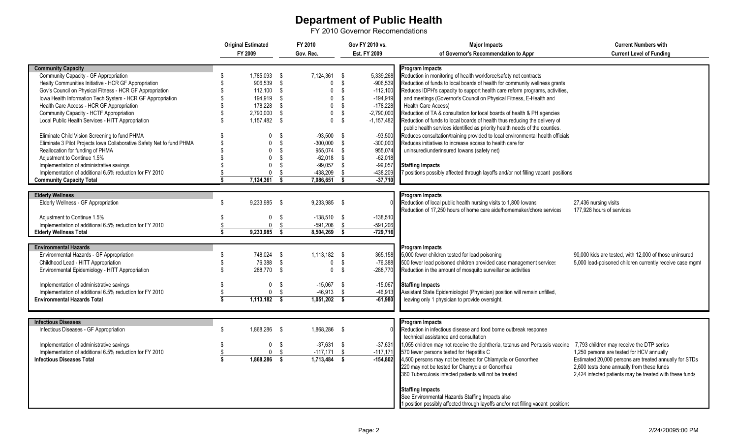## **Department of Public Health**

FY 2010 Governor Recomendations

|                                                                       |                               | <b>Original Estimated</b> |                         | FY 2010        |                         | Gov FY 2010 vs. | <b>Major Impacts</b>                                                              | <b>Current Numbers with</b>                              |
|-----------------------------------------------------------------------|-------------------------------|---------------------------|-------------------------|----------------|-------------------------|-----------------|-----------------------------------------------------------------------------------|----------------------------------------------------------|
|                                                                       |                               | FY 2009                   |                         | Gov. Rec.      |                         | Est. FY 2009    | of Governor's Recommendation to Appr                                              | <b>Current Level of Funding</b>                          |
|                                                                       |                               |                           |                         |                |                         |                 |                                                                                   |                                                          |
| <b>Community Capacity</b>                                             |                               |                           |                         |                |                         |                 | <b>Program Impacts</b>                                                            |                                                          |
| Community Capacity - GF Appropriation                                 | \$                            | 1.785.093 \$              |                         | 7.124.361 \$   |                         | 5,339,268       | Reduction in monitoring of health workforce/safety net contracts                  |                                                          |
| Healty Communities Initiative - HCR GF Appropriation                  |                               | 906,539 \$                |                         | $\mathbf 0$    | $\sqrt{3}$              | $-906,539$      | Reduction of funds to local boards of health for community wellness grants        |                                                          |
| Gov's Council on Physical Fitness - HCR GF Appropriation              |                               | $112,100$ \$              |                         | $\mathbf 0$    | - \$                    | $-112,100$      | Reduces IDPH's capacity to support health care reform programs, activities,       |                                                          |
| Iowa Health Information Tech System - HCR GF Appropriation            |                               | 194,919                   | \$                      | $\mathbf 0$    | - \$                    | $-194,919$      | and meetings (Governor's Council on Physical Fitness, E-Health and                |                                                          |
| Health Care Access - HCR GF Appropriation                             |                               | 178,228                   | \$                      | $\mathbf{0}$   | - \$                    | $-178,228$      | <b>Health Care Access)</b>                                                        |                                                          |
| Community Capacity - HCTF Appropriation                               |                               | 2.790.000                 | \$                      | $\mathbf 0$    | - \$                    | $-2,790,000$    | Reduction of TA & consultation for local boards of health & PH agencies           |                                                          |
| Local Public Health Services - HITT Appropriation                     |                               | 1,157,482 \$              |                         | $\mathbf 0$    | - \$                    | $-1,157,482$    | Reduction of funds to local boards of health thus reducing the delivery of        |                                                          |
|                                                                       |                               |                           |                         |                |                         |                 | public health services identified as priority health needs of the counties.       |                                                          |
| Eliminate Child Vision Screening to fund PHMA                         |                               | 0                         | - \$                    | $-93,500$ \$   |                         | $-93,500$       | Reduces consultation/training provided to local environmental health officials    |                                                          |
| Eliminate 3 Pilot Projects Iowa Collaborative Safety Net fo fund PHMA |                               | $\mathbf{0}$              | - \$                    | $-300.000$     | - \$                    | $-300,000$      | Reduces initiatives to increase access to health care for                         |                                                          |
| Reallocation for funding of PHMA                                      |                               | $\mathbf 0$               | - \$                    | 955,074 \$     |                         | 955,074         | uninsured/underinsured lowans (safety net)                                        |                                                          |
| Adjustment to Continue 1.5%                                           |                               | $\mathbf{0}$              | - \$                    | $-62,018$ \$   |                         | $-62,018$       |                                                                                   |                                                          |
| Implementation of administrative savings                              |                               | $\mathbf{0}$              | -\$                     | $-99,057$ \$   |                         | $-99,057$       | <b>Staffing Impacts</b>                                                           |                                                          |
| Implementation of additional 6.5% reduction for FY 2010               |                               | $\Omega$                  | -\$                     | $-438,209$     | - \$                    | -438,209        | 7 positions possibly affected through layoffs and/or not filling vacant positions |                                                          |
| <b>Community Capacity Total</b>                                       |                               | 7,124,361                 | $\overline{\mathbf{s}}$ | 7,086,651      | $\overline{\mathbf{s}}$ | $-37,710$       |                                                                                   |                                                          |
|                                                                       |                               |                           |                         |                |                         |                 |                                                                                   |                                                          |
| <b>Elderly Wellness</b>                                               |                               |                           |                         |                |                         |                 | <b>Program Impacts</b>                                                            |                                                          |
| Elderly Wellness - GF Appropriation                                   | \$                            | 9,233,985 \$              |                         | 9,233,985 \$   |                         |                 | Reduction of local public health nursing visits to 1,800 lowans                   | 27,436 nursing visits                                    |
|                                                                       |                               |                           |                         |                |                         |                 | Reduction of 17,250 hours of home care aide/homemaker/chore services              | 177,928 hours of services                                |
| Adjustment to Continue 1.5%                                           |                               | $\mathbf 0$               | - \$                    | $-138,510$ \$  |                         | $-138,510$      |                                                                                   |                                                          |
| Implementation of additional 6.5% reduction for FY 2010               |                               | 0                         | - \$                    | $-591,206$     | Ŝ.                      | $-591,206$      |                                                                                   |                                                          |
| <b>Elderly Wellness Total</b>                                         | 7                             | 9,233,985                 | $\overline{\mathbf{s}}$ | 8,504,269      | $\overline{\mathbf{s}}$ | $-729,716$      |                                                                                   |                                                          |
|                                                                       |                               |                           |                         |                |                         |                 |                                                                                   |                                                          |
| <b>Environmental Hazards</b>                                          |                               |                           |                         |                |                         |                 | <b>Program Impacts</b>                                                            |                                                          |
| Environmental Hazards - GF Appropriation                              | \$                            | 748.024 \$                |                         | 1.113.182 \$   |                         | 365,158         | 5,000 fewer children tested for lead poisoning                                    | 90,000 kids are tested, with 12,000 of those uninsured   |
| Childhood Lead - HITT Appropriation                                   |                               | 76,388 \$                 |                         | $\mathbf 0$    | - \$                    | $-76,388$       | 500 fewer lead poisoned children provided case management services                | 5,000 lead-poisoned children currently receive case mgml |
| Environmental Epidemiology - HITT Appropriation                       |                               | 288,770 \$                |                         | $\mathbf 0$    | - \$                    | $-288,770$      | Reduction in the amount of mosquito surveillance activities                       |                                                          |
|                                                                       |                               |                           |                         |                |                         |                 |                                                                                   |                                                          |
| Implementation of administrative savings                              |                               |                           | 0 <sup>5</sup>          | $-15,067$ \$   |                         | $-15,067$       | <b>Staffing Impacts</b>                                                           |                                                          |
| Implementation of additional 6.5% reduction for FY 2010               |                               |                           | 0 <sup>5</sup>          | $-46,913$ \$   |                         | $-46,913$       | Assistant State Epidemiologist (Physician) position will remain unfilled,         |                                                          |
| <b>Environmental Hazards Total</b>                                    | \$                            | $1,113,182$ \$            |                         | $1,051,202$ \$ |                         | $-61,980$       | leaving only 1 physician to provide oversight.                                    |                                                          |
|                                                                       |                               |                           |                         |                |                         |                 |                                                                                   |                                                          |
|                                                                       |                               |                           |                         |                |                         |                 |                                                                                   |                                                          |
| <b>Infectious Diseases</b>                                            |                               |                           |                         |                |                         |                 | <b>Program Impacts</b>                                                            |                                                          |
| Infectious Diseases - GF Appropriation                                | \$                            | 1.868.286 \$              |                         | 1.868.286 \$   |                         |                 | Reduction in infectious disease and food borne outbreak response                  |                                                          |
|                                                                       |                               |                           |                         |                |                         |                 | technical assistance and consultation                                             |                                                          |
| Implementation of administrative savings                              |                               | $\mathbf 0$               | \$                      | $-37,631$ \$   |                         | $-37,631$       | 1,055 children may not receive the diphtheria, tetanus and Pertussis vaccine      | 7,793 children may receive the DTP series                |
| Implementation of additional 6.5% reduction for FY 2010               |                               | $\Omega$                  | - \$                    | $-117,171$     | - \$                    | $-117,171$      | 570 fewer persons tested for Hepatitis C                                          | 1,250 persons are tested for HCV annually                |
| <b>Infectious Diseases Total</b>                                      | \$<br>$\overline{\mathbf{s}}$ | 1,868,286                 | $\mathbf{s}$            | $1,713,484$ \$ |                         | $-154.802$      | 4,500 persons may not be treated for Chlamydia or Gonorrhea                       | Estimated 20,000 persons are treated annually for STDs   |
|                                                                       |                               |                           |                         |                |                         |                 | 220 may not be tested for Chamydia or Gonorrhea                                   | 2,600 tests done annually from these funds               |
|                                                                       |                               |                           |                         |                |                         |                 |                                                                                   |                                                          |
|                                                                       |                               |                           |                         |                |                         |                 | 360 Tuberculosis infected patients will not be treated                            | 2,424 infected patients may be treated with these funds  |
|                                                                       |                               |                           |                         |                |                         |                 |                                                                                   |                                                          |
|                                                                       |                               |                           |                         |                |                         |                 | <b>Staffing Impacts</b>                                                           |                                                          |
|                                                                       |                               |                           |                         |                |                         |                 | See Environmental Hazards Staffing Impacts also                                   |                                                          |
|                                                                       |                               |                           |                         |                |                         |                 | 1 position possibly affected through layoffs and/or not filling vacant positions  |                                                          |